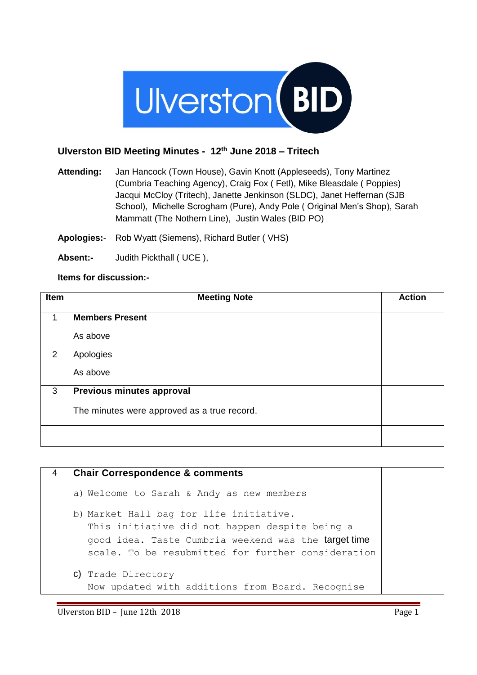

## **Ulverston BID Meeting Minutes - 12th June 2018 – Tritech**

**Attending:** Jan Hancock (Town House), Gavin Knott (Appleseeds), Tony Martinez (Cumbria Teaching Agency), Craig Fox ( Fetl), Mike Bleasdale ( Poppies) Jacqui McCloy (Tritech), Janette Jenkinson (SLDC), Janet Heffernan (SJB School), Michelle Scrogham (Pure), Andy Pole ( Original Men's Shop), Sarah Mammatt (The Nothern Line), Justin Wales (BID PO)

**Apologies:**- Rob Wyatt (Siemens), Richard Butler ( VHS)

**Absent:-** Judith Pickthall ( UCE ),

## **Items for discussion:-**

| Item | <b>Meeting Note</b>                         | <b>Action</b> |
|------|---------------------------------------------|---------------|
| 1    | <b>Members Present</b>                      |               |
|      | As above                                    |               |
| 2    | Apologies                                   |               |
|      | As above                                    |               |
| 3    | Previous minutes approval                   |               |
|      | The minutes were approved as a true record. |               |
|      |                                             |               |

| 4 | <b>Chair Correspondence &amp; comments</b>                                                                                                                                                              |
|---|---------------------------------------------------------------------------------------------------------------------------------------------------------------------------------------------------------|
|   | a) Welcome to Sarah & Andy as new members                                                                                                                                                               |
|   | b) Market Hall bag for life initiative.<br>This initiative did not happen despite being a<br>good idea. Taste Cumbria weekend was the target time<br>scale. To be resubmitted for further consideration |
|   | C) Trade Directory<br>Now updated with additions from Board. Recognise                                                                                                                                  |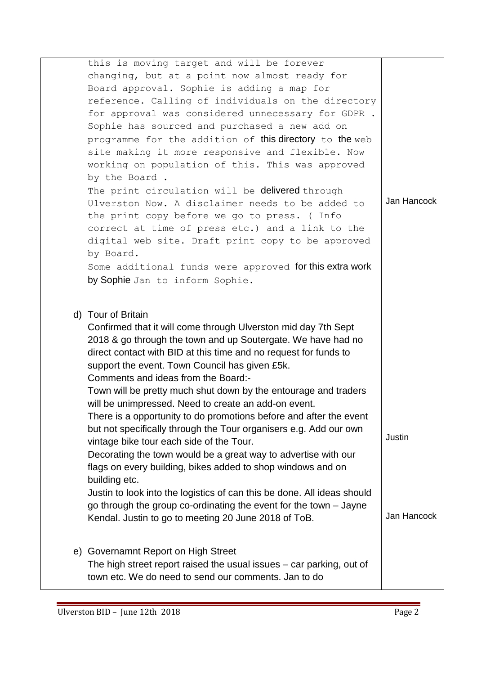| Jan Hancock |
|-------------|
|             |
|             |
|             |
|             |
|             |
|             |
|             |
|             |
|             |
|             |
| Justin      |
|             |
|             |
|             |
|             |
|             |
| Jan Hancock |
|             |
|             |
|             |
|             |
|             |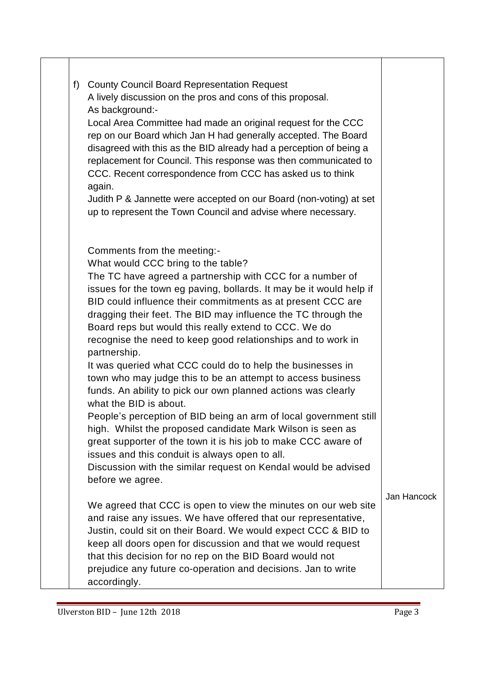| f) County Council Board Representation Request<br>A lively discussion on the pros and cons of this proposal.<br>As background:-<br>Local Area Committee had made an original request for the CCC<br>rep on our Board which Jan H had generally accepted. The Board<br>disagreed with this as the BID already had a perception of being a<br>replacement for Council. This response was then communicated to<br>CCC. Recent correspondence from CCC has asked us to think<br>again.<br>Judith P & Jannette were accepted on our Board (non-voting) at set<br>up to represent the Town Council and advise where necessary.                                                                                                                                                                                                                                                                                                                                                                                                                            |             |
|-----------------------------------------------------------------------------------------------------------------------------------------------------------------------------------------------------------------------------------------------------------------------------------------------------------------------------------------------------------------------------------------------------------------------------------------------------------------------------------------------------------------------------------------------------------------------------------------------------------------------------------------------------------------------------------------------------------------------------------------------------------------------------------------------------------------------------------------------------------------------------------------------------------------------------------------------------------------------------------------------------------------------------------------------------|-------------|
| Comments from the meeting:-<br>What would CCC bring to the table?<br>The TC have agreed a partnership with CCC for a number of<br>issues for the town eg paving, bollards. It may be it would help if<br>BID could influence their commitments as at present CCC are<br>dragging their feet. The BID may influence the TC through the<br>Board reps but would this really extend to CCC. We do<br>recognise the need to keep good relationships and to work in<br>partnership.<br>It was queried what CCC could do to help the businesses in<br>town who may judge this to be an attempt to access business<br>funds. An ability to pick our own planned actions was clearly<br>what the BID is about.<br>People's perception of BID being an arm of local government still<br>high. Whilst the proposed candidate Mark Wilson is seen as<br>great supporter of the town it is his job to make CCC aware of<br>issues and this conduit is always open to all.<br>Discussion with the similar request on Kendal would be advised<br>before we agree. |             |
| We agreed that CCC is open to view the minutes on our web site<br>and raise any issues. We have offered that our representative,<br>Justin, could sit on their Board. We would expect CCC & BID to<br>keep all doors open for discussion and that we would request<br>that this decision for no rep on the BID Board would not<br>prejudice any future co-operation and decisions. Jan to write<br>accordingly.                                                                                                                                                                                                                                                                                                                                                                                                                                                                                                                                                                                                                                     | Jan Hancock |

٦

٦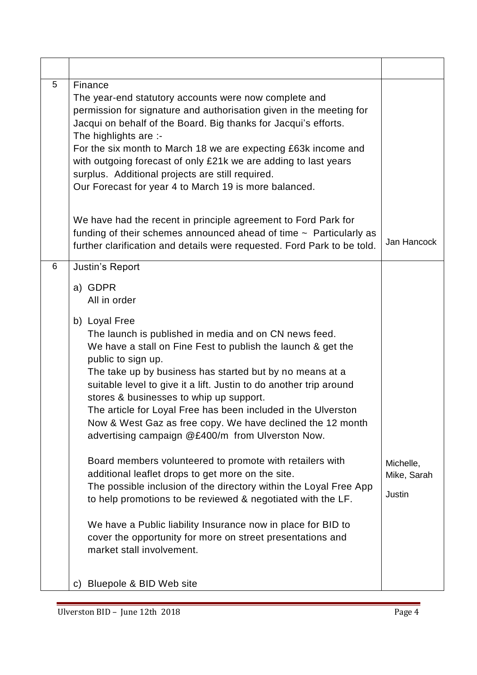| 5 | Finance<br>The year-end statutory accounts were now complete and<br>permission for signature and authorisation given in the meeting for<br>Jacqui on behalf of the Board. Big thanks for Jacqui's efforts.<br>The highlights are :-<br>For the six month to March 18 we are expecting £63k income and<br>with outgoing forecast of only £21k we are adding to last years<br>surplus. Additional projects are still required.<br>Our Forecast for year 4 to March 19 is more balanced.<br>We have had the recent in principle agreement to Ford Park for                                                                                                                                                                                                                                                                                                                                                                                                                                    |                                           |
|---|--------------------------------------------------------------------------------------------------------------------------------------------------------------------------------------------------------------------------------------------------------------------------------------------------------------------------------------------------------------------------------------------------------------------------------------------------------------------------------------------------------------------------------------------------------------------------------------------------------------------------------------------------------------------------------------------------------------------------------------------------------------------------------------------------------------------------------------------------------------------------------------------------------------------------------------------------------------------------------------------|-------------------------------------------|
|   | funding of their schemes announced ahead of time $\sim$ Particularly as<br>further clarification and details were requested. Ford Park to be told.                                                                                                                                                                                                                                                                                                                                                                                                                                                                                                                                                                                                                                                                                                                                                                                                                                         | Jan Hancock                               |
| 6 | Justin's Report<br>a) GDPR<br>All in order<br>b) Loyal Free<br>The launch is published in media and on CN news feed.<br>We have a stall on Fine Fest to publish the launch & get the<br>public to sign up.<br>The take up by business has started but by no means at a<br>suitable level to give it a lift. Justin to do another trip around<br>stores & businesses to whip up support.<br>The article for Loyal Free has been included in the Ulverston<br>Now & West Gaz as free copy. We have declined the 12 month<br>advertising campaign @£400/m from Ulverston Now.<br>Board members volunteered to promote with retailers with<br>additional leaflet drops to get more on the site.<br>The possible inclusion of the directory within the Loyal Free App<br>to help promotions to be reviewed & negotiated with the LF.<br>We have a Public liability Insurance now in place for BID to<br>cover the opportunity for more on street presentations and<br>market stall involvement. | Michelle,<br>Mike, Sarah<br><b>Justin</b> |
|   | Bluepole & BID Web site<br>$\mathsf{C}$                                                                                                                                                                                                                                                                                                                                                                                                                                                                                                                                                                                                                                                                                                                                                                                                                                                                                                                                                    |                                           |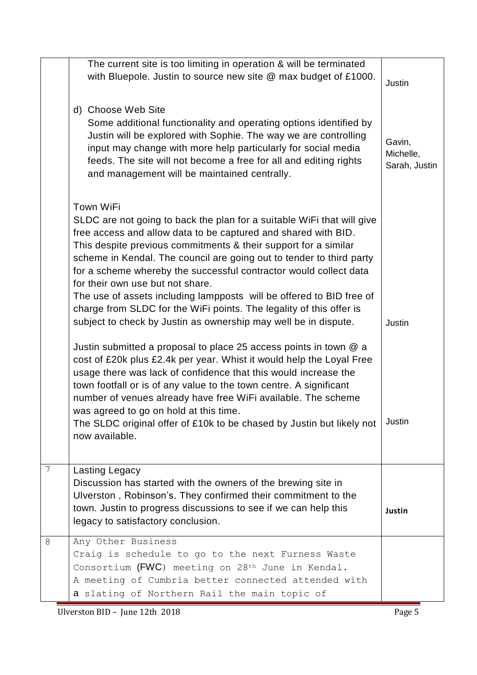|                | The current site is too limiting in operation & will be terminated<br>with Bluepole. Justin to source new site @ max budget of £1000.<br>d) Choose Web Site                                                                                                                                                                                                                                                                                                                                                                                                                                                                                                                                                                                                                                                                                                                                                                                                                                                                                                                                                                      | <b>Justin</b>                        |
|----------------|----------------------------------------------------------------------------------------------------------------------------------------------------------------------------------------------------------------------------------------------------------------------------------------------------------------------------------------------------------------------------------------------------------------------------------------------------------------------------------------------------------------------------------------------------------------------------------------------------------------------------------------------------------------------------------------------------------------------------------------------------------------------------------------------------------------------------------------------------------------------------------------------------------------------------------------------------------------------------------------------------------------------------------------------------------------------------------------------------------------------------------|--------------------------------------|
|                | Some additional functionality and operating options identified by<br>Justin will be explored with Sophie. The way we are controlling<br>input may change with more help particularly for social media<br>feeds. The site will not become a free for all and editing rights<br>and management will be maintained centrally.                                                                                                                                                                                                                                                                                                                                                                                                                                                                                                                                                                                                                                                                                                                                                                                                       | Gavin,<br>Michelle,<br>Sarah, Justin |
|                | <b>Town WiFi</b><br>SLDC are not going to back the plan for a suitable WiFi that will give<br>free access and allow data to be captured and shared with BID.<br>This despite previous commitments & their support for a similar<br>scheme in Kendal. The council are going out to tender to third party<br>for a scheme whereby the successful contractor would collect data<br>for their own use but not share.<br>The use of assets including lampposts will be offered to BID free of<br>charge from SLDC for the WiFi points. The legality of this offer is<br>subject to check by Justin as ownership may well be in dispute.<br>Justin submitted a proposal to place 25 access points in town $@$ a<br>cost of £20k plus £2.4k per year. Whist it would help the Loyal Free<br>usage there was lack of confidence that this would increase the<br>town footfall or is of any value to the town centre. A significant<br>number of venues already have free WiFi available. The scheme<br>was agreed to go on hold at this time.<br>The SLDC original offer of £10k to be chased by Justin but likely not<br>now available. | Justin<br>Justin                     |
| $\overline{7}$ | Lasting Legacy<br>Discussion has started with the owners of the brewing site in<br>Ulverston, Robinson's. They confirmed their commitment to the<br>town. Justin to progress discussions to see if we can help this<br>legacy to satisfactory conclusion.                                                                                                                                                                                                                                                                                                                                                                                                                                                                                                                                                                                                                                                                                                                                                                                                                                                                        | Justin                               |
| 8              | Any Other Business<br>Craig is schedule to go to the next Furness Waste<br>Consortium (FWC) meeting on $28th$ June in Kendal.<br>A meeting of Cumbria better connected attended with<br>a slating of Northern Rail the main topic of                                                                                                                                                                                                                                                                                                                                                                                                                                                                                                                                                                                                                                                                                                                                                                                                                                                                                             |                                      |

Ulverston BID – June 12th 2018 Page 5